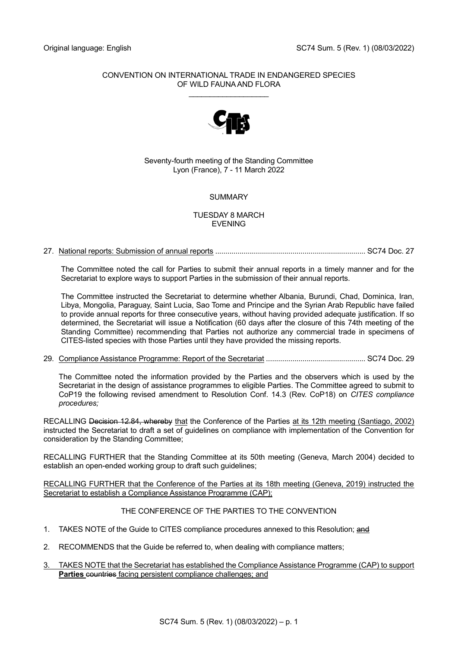## CONVENTION ON INTERNATIONAL TRADE IN ENDANGERED SPECIES OF WILD FAUNA AND FLORA

\_\_\_\_\_\_\_\_\_\_\_\_\_\_\_\_\_\_\_



## Seventy-fourth meeting of the Standing Committee Lyon (France), 7 - 11 March 2022

# **SUMMARY**

## TUESDAY 8 MARCH EVENING

27. National reports: Submission of annual reports .......................................................................... SC74 Doc. 27

The Committee noted the call for Parties to submit their annual reports in a timely manner and for the Secretariat to explore ways to support Parties in the submission of their annual reports.

The Committee instructed the Secretariat to determine whether Albania, Burundi, Chad, Dominica, Iran, Libya, Mongolia, Paraguay, Saint Lucia, Sao Tome and Principe and the Syrian Arab Republic have failed to provide annual reports for three consecutive years, without having provided adequate justification. If so determined, the Secretariat will issue a Notification (60 days after the closure of this 74th meeting of the Standing Committee) recommending that Parties not authorize any commercial trade in specimens of CITES-listed species with those Parties until they have provided the missing reports.

29. Compliance Assistance Programme: Report of the Secretariat ................................................. SC74 Doc. 29

The Committee noted the information provided by the Parties and the observers which is used by the Secretariat in the design of assistance programmes to eligible Parties. The Committee agreed to submit to CoP19 the following revised amendment to Resolution Conf. 14.3 (Rev. CoP18) on *CITES compliance procedures;*

RECALLING Decision 12.84, whereby that the Conference of the Parties at its 12th meeting (Santiago, 2002) instructed the Secretariat to draft a set of guidelines on compliance with implementation of the Convention for consideration by the Standing Committee;

RECALLING FURTHER that the Standing Committee at its 50th meeting (Geneva, March 2004) decided to establish an open-ended working group to draft such guidelines;

RECALLING FURTHER that the Conference of the Parties at its 18th meeting (Geneva, 2019) instructed the Secretariat to establish a Compliance Assistance Programme (CAP);

# THE CONFERENCE OF THE PARTIES TO THE CONVENTION

- 1. TAKES NOTE of the Guide to CITES compliance procedures annexed to this Resolution; and
- 2. RECOMMENDS that the Guide be referred to, when dealing with compliance matters;
- 3. TAKES NOTE that the Secretariat has established the Compliance Assistance Programme (CAP) to support Parties countries facing persistent compliance challenges; and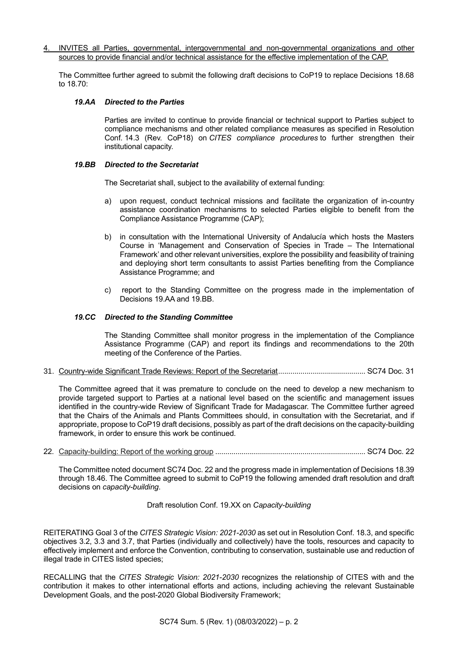4. INVITES all Parties, governmental, intergovernmental and non-governmental organizations and other sources to provide financial and/or technical assistance for the effective implementation of the CAP.

The Committee further agreed to submit the following draft decisions to CoP19 to replace Decisions 18.68 to 18.70:

### *19.AA Directed to the Parties*

Parties are invited to continue to provide financial or technical support to Parties subject to compliance mechanisms and other related compliance measures as specified in Resolution Conf. 14.3 (Rev. CoP18) on *CITES compliance procedures* to further strengthen their institutional capacity.

### *19.BB Directed to the Secretariat*

The Secretariat shall, subject to the availability of external funding:

- a) upon request, conduct technical missions and facilitate the organization of in-country assistance coordination mechanisms to selected Parties eligible to benefit from the Compliance Assistance Programme (CAP);
- b) in consultation with the International University of Andalucía which hosts the Masters Course in 'Management and Conservation of Species in Trade – The International Framework' and other relevant universities, explore the possibility and feasibility of training and deploying short term consultants to assist Parties benefiting from the Compliance Assistance Programme; and
- c) report to the Standing Committee on the progress made in the implementation of Decisions 19.AA and 19.BB.

## *19.CC Directed to the Standing Committee*

The Standing Committee shall monitor progress in the implementation of the Compliance Assistance Programme (CAP) and report its findings and recommendations to the 20th meeting of the Conference of the Parties.

### 31. Country-wide Significant Trade Reviews: Report of the Secretariat........................................... SC74 Doc. 31

The Committee agreed that it was premature to conclude on the need to develop a new mechanism to provide targeted support to Parties at a national level based on the scientific and management issues identified in the country-wide Review of Significant Trade for Madagascar. The Committee further agreed that the Chairs of the Animals and Plants Committees should, in consultation with the Secretariat, and if appropriate, propose to CoP19 draft decisions, possibly as part of the draft decisions on the capacity-building framework, in order to ensure this work be continued.

22. Capacity-building: Report of the working group .......................................................................... SC74 Doc. 22

The Committee noted document SC74 Doc. 22 and the progress made in implementation of Decisions 18.39 through 18.46. The Committee agreed to submit to CoP19 the following amended draft resolution and draft decisions on *capacity-building*.

## Draft resolution Conf. 19.XX on *Capacity-building*

REITERATING Goal 3 of the *CITES Strategic Vision: 2021-2030* as set out in Resolution Conf. 18.3, and specific objectives 3.2, 3.3 and 3.7, that Parties (individually and collectively) have the tools, resources and capacity to effectively implement and enforce the Convention, contributing to conservation, sustainable use and reduction of illegal trade in CITES listed species;

RECALLING that the *CITES Strategic Vision: 2021-2030* recognizes the relationship of CITES with and the contribution it makes to other international efforts and actions, including achieving the relevant Sustainable Development Goals, and the post-2020 Global Biodiversity Framework;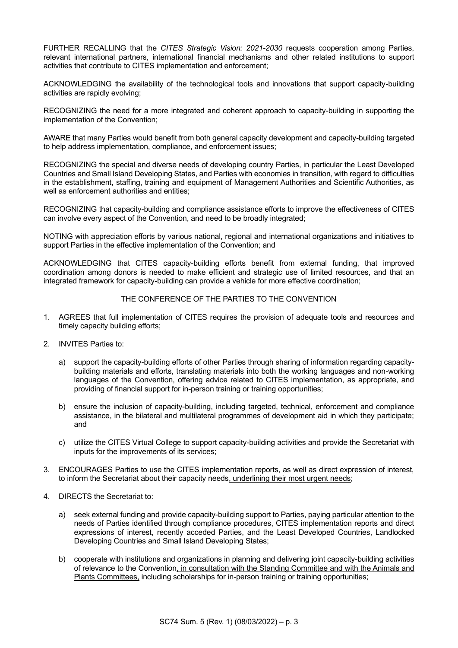FURTHER RECALLING that the *CITES Strategic Vision: 2021-2030* requests cooperation among Parties, relevant international partners, international financial mechanisms and other related institutions to support activities that contribute to CITES implementation and enforcement;

ACKNOWLEDGING the availability of the technological tools and innovations that support capacity-building activities are rapidly evolving;

RECOGNIZING the need for a more integrated and coherent approach to capacity-building in supporting the implementation of the Convention;

AWARE that many Parties would benefit from both general capacity development and capacity-building targeted to help address implementation, compliance, and enforcement issues;

RECOGNIZING the special and diverse needs of developing country Parties, in particular the Least Developed Countries and Small Island Developing States, and Parties with economies in transition, with regard to difficulties in the establishment, staffing, training and equipment of Management Authorities and Scientific Authorities, as well as enforcement authorities and entities;

RECOGNIZING that capacity-building and compliance assistance efforts to improve the effectiveness of CITES can involve every aspect of the Convention, and need to be broadly integrated;

NOTING with appreciation efforts by various national, regional and international organizations and initiatives to support Parties in the effective implementation of the Convention; and

ACKNOWLEDGING that CITES capacity-building efforts benefit from external funding, that improved coordination among donors is needed to make efficient and strategic use of limited resources, and that an integrated framework for capacity-building can provide a vehicle for more effective coordination;

## THE CONFERENCE OF THE PARTIES TO THE CONVENTION

- 1. AGREES that full implementation of CITES requires the provision of adequate tools and resources and timely capacity building efforts;
- 2. INVITES Parties to:
	- a) support the capacity-building efforts of other Parties through sharing of information regarding capacitybuilding materials and efforts, translating materials into both the working languages and non-working languages of the Convention, offering advice related to CITES implementation, as appropriate, and providing of financial support for in-person training or training opportunities;
	- b) ensure the inclusion of capacity-building, including targeted, technical, enforcement and compliance assistance, in the bilateral and multilateral programmes of development aid in which they participate; and
	- c) utilize the CITES Virtual College to support capacity-building activities and provide the Secretariat with inputs for the improvements of its services;
- 3. ENCOURAGES Parties to use the CITES implementation reports, as well as direct expression of interest, to inform the Secretariat about their capacity needs, underlining their most urgent needs;
- 4. DIRECTS the Secretariat to:
	- a) seek external funding and provide capacity-building support to Parties, paying particular attention to the needs of Parties identified through compliance procedures, CITES implementation reports and direct expressions of interest, recently acceded Parties, and the Least Developed Countries, Landlocked Developing Countries and Small Island Developing States;
	- b) cooperate with institutions and organizations in planning and delivering joint capacity-building activities of relevance to the Convention, in consultation with the Standing Committee and with the Animals and Plants Committees, including scholarships for in-person training or training opportunities;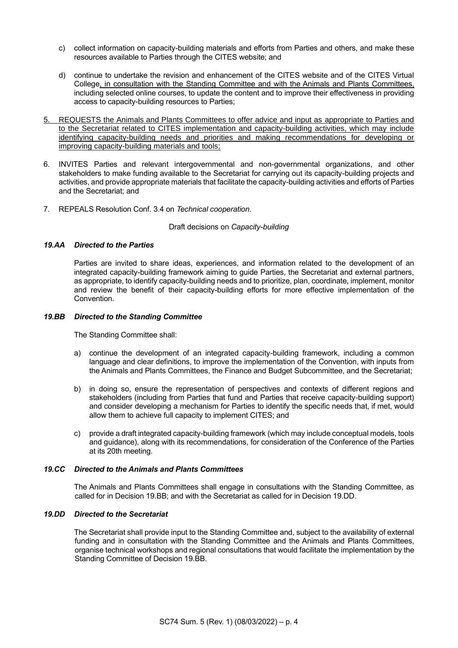- c) collect information on capacity-building materials and efforts from Parties and others, and make these resources available to Parties through the CITES website; and
- d) continue to undertake the revision and enhancement of the CITES website and of the CITES Virtual College, in consultation with the Standing Committee and with the Animals and Plants Committees, including selected online courses, to update the content and to improve their effectiveness in providing access to capacity-building resources to Parties;
- 5. REQUESTS the Animals and Plants Committees to offer advice and input as appropriate to Parties and to the Secretariat related to CITES implementation and capacity-building activities, which may include identifying capacity-building needs and priorities and making recommendations for developing or improving capacity-building materials and tools;
- 6. INVITES Parties and relevant intergovernmental and non-governmental organizations, and other stakeholders to make funding available to the Secretariat for carrying out its capacity-building projects and activities, and provide appropriate materials that facilitate the capacity-building activities and efforts of Parties and the Secretariat; and
- 7. REPEALS Resolution Conf. 3.4 on *Technical cooperation*.

### Draft decisions on *Capacity-building*

## *19.AA Directed to the Parties*

Parties are invited to share ideas, experiences, and information related to the development of an integrated capacity-building framework aiming to guide Parties, the Secretariat and external partners, as appropriate, to identify capacity-building needs and to prioritize, plan, coordinate, implement, monitor and review the benefit of their capacity-building efforts for more effective implementation of the Convention.

## *19.BB Directed to the Standing Committee*

The Standing Committee shall:

- a) continue the development of an integrated capacity-building framework, including a common language and clear definitions, to improve the implementation of the Convention, with inputs from the Animals and Plants Committees, the Finance and Budget Subcommittee, and the Secretariat;
- b) in doing so, ensure the representation of perspectives and contexts of different regions and stakeholders (including from Parties that fund and Parties that receive capacity-building support) and consider developing a mechanism for Parties to identify the specific needs that, if met, would allow them to achieve full capacity to implement CITES; and
- c) provide a draft integrated capacity-building framework (which may include conceptual models, tools and guidance), along with its recommendations, for consideration of the Conference of the Parties at its 20th meeting.

## *19.CC Directed to the Animals and Plants Committees*

The Animals and Plants Committees shall engage in consultations with the Standing Committee, as called for in Decision 19.BB; and with the Secretariat as called for in Decision 19.DD.

### *19.DD Directed to the Secretariat*

The Secretariat shall provide input to the Standing Committee and, subject to the availability of external funding and in consultation with the Standing Committee and the Animals and Plants Committees, organise technical workshops and regional consultations that would facilitate the implementation by the Standing Committee of Decision 19.BB.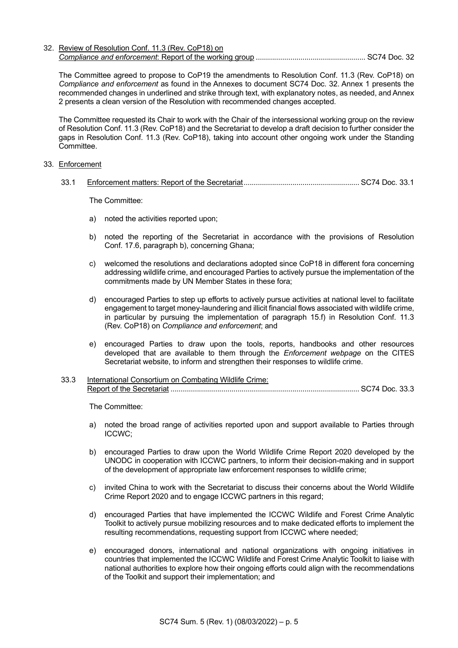32. Review of Resolution Conf. 11.3 (Rev. CoP18) on *Compliance and enforcement*: Report of the working group ...................................................... SC74 Doc. 32

The Committee agreed to propose to CoP19 the amendments to Resolution Conf. 11.3 (Rev. CoP18) on *Compliance and enforcement* as found in the Annexes to document SC74 Doc. 32. Annex 1 presents the recommended changes in underlined and strike through text, with explanatory notes, as needed, and Annex 2 presents a clean version of the Resolution with recommended changes accepted.

The Committee requested its Chair to work with the Chair of the intersessional working group on the review of Resolution Conf. 11.3 (Rev. CoP18) and the Secretariat to develop a draft decision to further consider the gaps in Resolution Conf. 11.3 (Rev. CoP18), taking into account other ongoing work under the Standing Committee.

#### 33. Enforcement

33.1 Enforcement matters: Report of the Secretariat......................................................... SC74 Doc. 33.1

The Committee:

- a) noted the activities reported upon;
- b) noted the reporting of the Secretariat in accordance with the provisions of Resolution Conf. 17.6, paragraph b), concerning Ghana;
- c) welcomed the resolutions and declarations adopted since CoP18 in different fora concerning addressing wildlife crime, and encouraged Parties to actively pursue the implementation of the commitments made by UN Member States in these fora;
- d) encouraged Parties to step up efforts to actively pursue activities at national level to facilitate engagement to target money-laundering and illicit financial flows associated with wildlife crime, in particular by pursuing the implementation of paragraph 15.f) in Resolution Conf. 11.3 (Rev. CoP18) on *Compliance and enforcement*; and
- e) encouraged Parties to draw upon the tools, reports, handbooks and other resources developed that are available to them through the *Enforcement webpage* on the CITES Secretariat website, to inform and strengthen their responses to wildlife crime.
- 33.3 International Consortium on Combating Wildlife Crime: Report of the Secretariat ............................................................................................. SC74 Doc. 33.3

The Committee:

- a) noted the broad range of activities reported upon and support available to Parties through ICCWC;
- b) encouraged Parties to draw upon the World Wildlife Crime Report 2020 developed by the UNODC in cooperation with ICCWC partners, to inform their decision-making and in support of the development of appropriate law enforcement responses to wildlife crime;
- c) invited China to work with the Secretariat to discuss their concerns about the World Wildlife Crime Report 2020 and to engage ICCWC partners in this regard;
- d) encouraged Parties that have implemented the ICCWC Wildlife and Forest Crime Analytic Toolkit to actively pursue mobilizing resources and to make dedicated efforts to implement the resulting recommendations, requesting support from ICCWC where needed;
- e) encouraged donors, international and national organizations with ongoing initiatives in countries that implemented the ICCWC Wildlife and Forest Crime Analytic Toolkit to liaise with national authorities to explore how their ongoing efforts could align with the recommendations of the Toolkit and support their implementation; and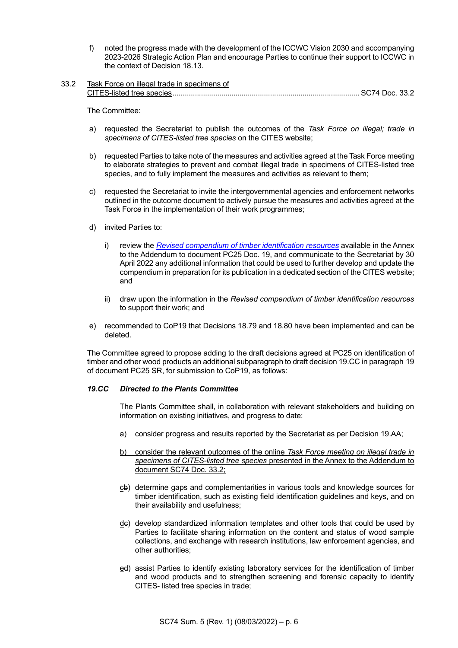- f) noted the progress made with the development of the ICCWC Vision 2030 and accompanying 2023-2026 Strategic Action Plan and encourage Parties to continue their support to ICCWC in the context of Decision 18.13.
- 33.2 Task Force on illegal trade in specimens of CITES-listed tree species............................................................................................ SC74 Doc. 33.2

The Committee:

- a) requested the Secretariat to publish the outcomes of the *Task Force on illegal; trade in specimens of CITES-listed tree species* on the CITES website;
- b) requested Parties to take note of the measures and activities agreed at the Task Force meeting to elaborate strategies to prevent and combat illegal trade in specimens of CITES-listed tree species, and to fully implement the measures and activities as relevant to them;
- c) requested the Secretariat to invite the intergovernmental agencies and enforcement networks outlined in the outcome document to actively pursue the measures and activities agreed at the Task Force in the implementation of their work programmes;
- d) invited Parties to:
	- i) review the *[Revised compendium of timber identification resources](https://cites.org/sites/default/files/eng/com/pc/25/Documents/E-PC25-19-Add.pdf)* available in the Annex to the Addendum to document PC25 Doc. 19, and communicate to the Secretariat by 30 April 2022 any additional information that could be used to further develop and update the compendium in preparation for its publication in a dedicated section of the CITES website; and
	- ii) draw upon the information in the *Revised compendium of timber identification resources* to support their work; and
- e) recommended to CoP19 that Decisions 18.79 and 18.80 have been implemented and can be deleted.

The Committee agreed to propose adding to the draft decisions agreed at PC25 on identification of timber and other wood products an additional subparagraph to draft decision 19.CC in paragraph 19 of document PC25 SR, for submission to CoP19, as follows:

### *19.CC Directed to the Plants Committee*

The Plants Committee shall, in collaboration with relevant stakeholders and building on information on existing initiatives, and progress to date:

- a) consider progress and results reported by the Secretariat as per Decision 19.AA;
- b) consider the relevant outcomes of the online *Task Force meeting on illegal trade in specimens of CITES-listed tree species* presented in the Annex to the Addendum to document SC74 Doc. 33.2;
- cb) determine gaps and complementarities in various tools and knowledge sources for timber identification, such as existing field identification guidelines and keys, and on their availability and usefulness;
- $\underline{de}$ ) develop standardized information templates and other tools that could be used by Parties to facilitate sharing information on the content and status of wood sample collections, and exchange with research institutions, law enforcement agencies, and other authorities;
- ed) assist Parties to identify existing laboratory services for the identification of timber and wood products and to strengthen screening and forensic capacity to identify CITES- listed tree species in trade;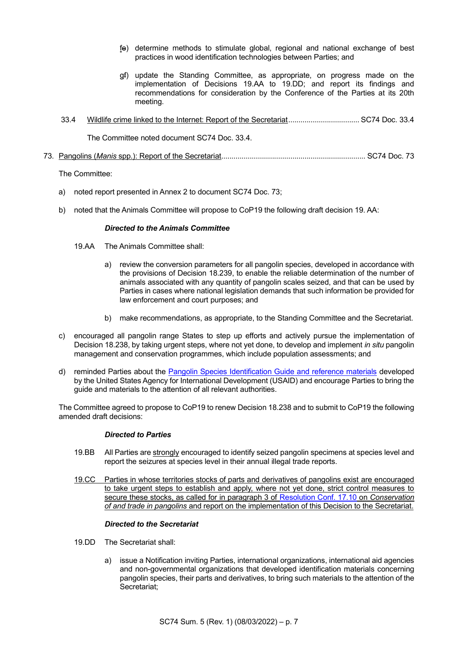- fe) determine methods to stimulate global, regional and national exchange of best practices in wood identification technologies between Parties; and
- gf) update the Standing Committee, as appropriate, on progress made on the implementation of Decisions 19.AA to 19.DD; and report its findings and recommendations for consideration by the Conference of the Parties at its 20th meeting.
- 33.4 Wildlife crime linked to the Internet: Report of the Secretariat................................... SC74 Doc. 33.4

The Committee noted document SC74 Doc. 33.4.

## 73. Pangolins (*Manis* spp.): Report of the Secretariat....................................................................... SC74 Doc. 73

The Committee:

- a) noted report presented in Annex 2 to document SC74 Doc. 73;
- b) noted that the Animals Committee will propose to CoP19 the following draft decision 19. AA:

### *Directed to the Animals Committee*

- 19.AA The Animals Committee shall:
	- a) review the conversion parameters for all pangolin species, developed in accordance with the provisions of Decision 18.239, to enable the reliable determination of the number of animals associated with any quantity of pangolin scales seized, and that can be used by Parties in cases where national legislation demands that such information be provided for law enforcement and court purposes; and
	- b) make recommendations, as appropriate, to the Standing Committee and the Secretariat.
- c) encouraged all pangolin range States to step up efforts and actively pursue the implementation of Decision 18.238, by taking urgent steps, where not yet done, to develop and implement *in situ* pangolin management and conservation programmes, which include population assessments; and
- d) reminded Parties about the [Pangolin Species Identification Guide and reference materials](https://www.usaidwildlifeasia.org/pangolin-guide) developed by the United States Agency for International Development (USAID) and encourage Parties to bring the guide and materials to the attention of all relevant authorities.

The Committee agreed to propose to CoP19 to renew Decision 18.238 and to submit to CoP19 the following amended draft decisions:

### *Directed to Parties*

- 19.BB All Parties are strongly encouraged to identify seized pangolin specimens at species level and report the seizures at species level in their annual illegal trade reports.
- 19.CC Parties in whose territories stocks of parts and derivatives of pangolins exist are encouraged to take urgent steps to establish and apply, where not yet done, strict control measures to secure these stocks, as called for in paragraph 3 of [Resolution Conf. 17.10](https://cites.org/sites/default/files/document/E-Res-17-10_0.pdf) on *Conservation of and trade in pangolins* and report on the implementation of this Decision to the Secretariat.

## *Directed to the Secretariat*

- 19.DD The Secretariat shall:
	- a) issue a Notification inviting Parties, international organizations, international aid agencies and non-governmental organizations that developed identification materials concerning pangolin species, their parts and derivatives, to bring such materials to the attention of the Secretariat;